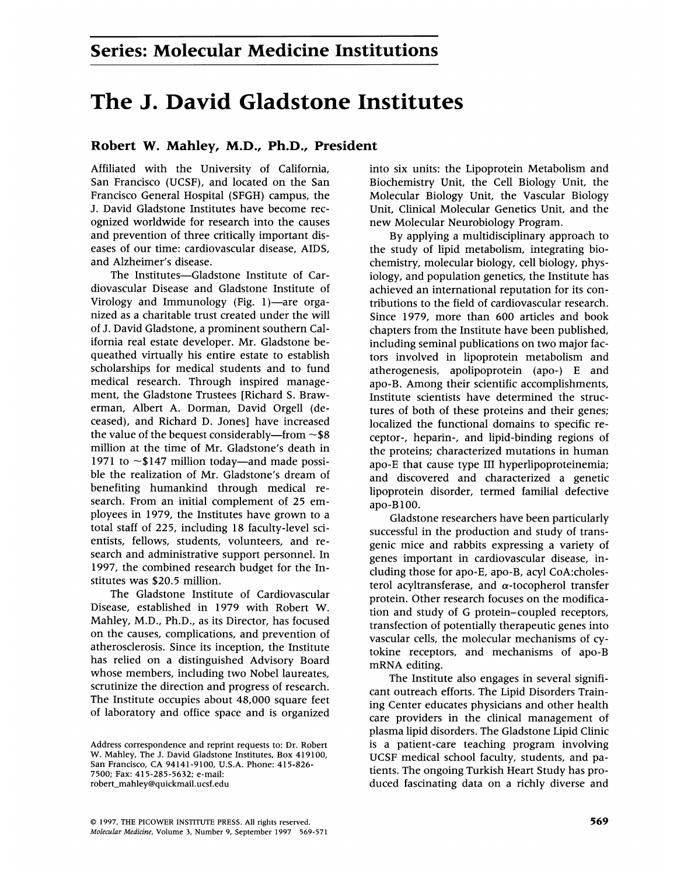## The J. David Gladstone Institutes

## Robert W. Mahley, M.D., Ph.D., President

Affiliated with the University of California, San Francisco (UCSF), and located on the San Francisco General Hospital (SFGH) campus, the J. David Gladstone Institutes have become recognized worldwide for research into the causes and prevention of three critically important diseases of our time: cardiovascular disease, AIDS, and Alzheimer's disease.

The Institutes-Gladstone Institute of Cardiovascular Disease and Gladstone Institute of Virology and Immunology (Fig. 1)—are organized as a charitable trust created under the will of J. David Gladstone, a prominent southern California real estate developer. Mr. Gladstone bequeathed virtually his entire estate to establish scholarships for medical students and to fund medical research. Through inspired management, the Gladstone Trustees [Richard S. Brawerman, Albert A. Dorman, David Orgell (deceased), and Richard D. Jones] have increased the value of the bequest considerably—from  $\sim$  \$8 million at the time of Mr. Gladstone's death in 1971 to  $\sim$ \$147 million today—and made possible the realization of Mr. Gladstone's dream of benefiting humankind through medical research. From an initial complement of 25 employees in 1979, the Institutes have grown to a total staff of 225, including 18 faculty-level scientists, fellows, students, volunteers, and research and administrative support personnel. In 1997, the combined research budget for the Institutes was \$20.5 million.

The Gladstone Institute of Cardiovascular Disease, established in 1979 with Robert W. Mahley, M.D., Ph.D., as its Director, has focused on the causes, complications, and prevention of atherosclerosis. Since its inception, the Institute has relied on a distinguished Advisory Board whose members, including two Nobel laureates, scrutinize the direction and progress of research. The Institute occupies about 48,000 square feet of laboratory and office space and is organized into six units: the Lipoprotein Metabolism and Biochemistry Unit, the Cell Biology Unit, the Molecular Biology Unit, the Vascular Biology Unit, Clinical Molecular Genetics Unit, and the new Molecular Neurobiology Program.

By applying a multidisciplinary approach to the study of lipid metabolism, integrating biochemistry, molecular biology, cell biology, physiology, and population genetics, the Institute has achieved an international reputation for its contributions to the field of cardiovascular research. Since 1979, more than 600 articles and book chapters from the Institute have been published, including seminal publications on two major factors involved in lipoprotein metabolism and atherogenesis, apolipoprotein (apo-) E and apo-B. Among their scientific accomplishments, Institute scientists have determined the structures of both of these proteins and their genes; localized the functional domains to specific receptor-, heparin-, and lipid-binding regions of the proteins; characterized mutations in human apo-E that cause type III hyperlipoproteinemia; and discovered and characterized a genetic lipoprotein disorder, termed familial defective apo-B 100.

Gladstone researchers have been particularly successful in the production and study of transgenic mice and rabbits expressing a variety of genes important in cardiovascular disease, including those for apo-E, apo-B, acyl CoA:cholesterol acyltransferase, and  $\alpha$ -tocopherol transfer protein. Other research focuses on the modification and study of G protein-coupled receptors, transfection of potentially therapeutic genes into vascular cells, the molecular mechanisms of cytokine receptors, and mechanisms of apo-B mRNA editing.

The Institute also engages in several significant outreach efforts. The Lipid Disorders Training Center educates physicians and other health care providers in the clinical management of plasma lipid disorders. The Gladstone Lipid Clinic is a patient-care teaching program involving UCSF medical school faculty, students, and patients. The ongoing Turkish Heart Study has produced fascinating data on a richly diverse and

Address correspondence and reprint requests to: Dr. Robert W. Mahley, The J. David Gladstone Institutes, Box 419100, San Francisco, CA 94141-9100, U.S.A. Phone: 415-826- 7500; Fax: 415-285-5632; e-mail: robert\_mahley@quickmail.ucsf.edu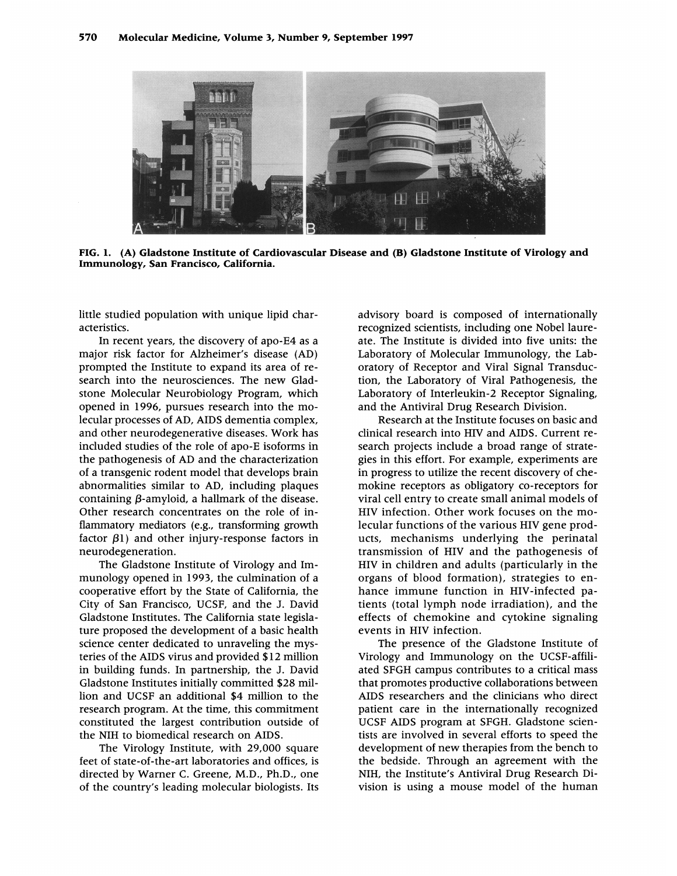

FIG. 1. (A) Gladstone Institute of Cardiovascular Disease and (B) Gladstone Institute of Virology and Immunology, San Francisco, California.

little studied population with unique lipid characteristics.

In recent years, the discovery of apo-E4 as a major risk factor for Alzheimer's disease (AD) prompted the Institute to expand its area of research into the neurosciences. The new Gladstone Molecular Neurobiology Program, which opened in 1996, pursues research into the molecular processes of AD, AIDS dementia complex, and other neurodegenerative diseases. Work has included studies of the role of apo-E isoforms in the pathogenesis of AD and the characterization of a transgenic rodent model that develops brain abnormalities similar to AD, including plaques containing  $\beta$ -amyloid, a hallmark of the disease. Other research concentrates on the role of inflammatory mediators (e.g., transforming growth factor  $\beta$ 1) and other injury-response factors in neurodegeneration.

The Gladstone Institute of Virology and Immunology opened in 1993, the culmination of a cooperative effort by the State of California, the City of San Francisco, UCSF, and the J. David Gladstone Institutes. The California state legislature proposed the development of a basic health science center dedicated to unraveling the mysteries of the AIDS virus and provided \$12 million in building funds. In partnership, the J. David Gladstone Institutes initially committed \$28 million and UCSF an additional \$4 million to the research program. At the time, this commitment constituted the largest contribution outside of the NIH to biomedical research on AIDS.

The Virology Institute, with 29,000 square feet of state-of-the-art laboratories and offices, is directed by Warner C. Greene, M.D., Ph.D., one of the country's leading molecular biologists. Its advisory board is composed of internationally recognized scientists, including one Nobel laureate. The Institute is divided into five units: the Laboratory of Molecular Immunology, the Laboratory of Receptor and Viral Signal Transduction, the Laboratory of Viral Pathogenesis, the Laboratory of Interleukin-2 Receptor Signaling, and the Antiviral Drug Research Division.

Research at the Institute focuses on basic and clinical research into HIV and AIDS. Current research projects include a broad range of strategies in this effort. For example, experiments are in progress to utilize the recent discovery of chemokine receptors as obligatory co-receptors for viral cell entry to create small animal models of HIV infection. Other work focuses on the molecular functions of the various HIV gene products, mechanisms underlying the perinatal transmission of HIV and the pathogenesis of HIV in children and adults (particularly in the organs of blood formation), strategies to enhance immune function in HIV-infected patients (total lymph node irradiation), and the effects of chemokine and cytokine signaling events in HIV infection.

The presence of the Gladstone Institute of Virology and Immunology on the UCSF-affiliated SFGH campus contributes to a critical mass that promotes productive collaborations between AIDS researchers and the clinicians who direct patient care in the internationally recognized UCSF AIDS program at SFGH. Gladstone scientists are involved in several efforts to speed the development of new therapies from the bench to the bedside. Through an agreement with the NIH, the Institute's Antiviral Drug Research Division is using <sup>a</sup> mouse model of the human